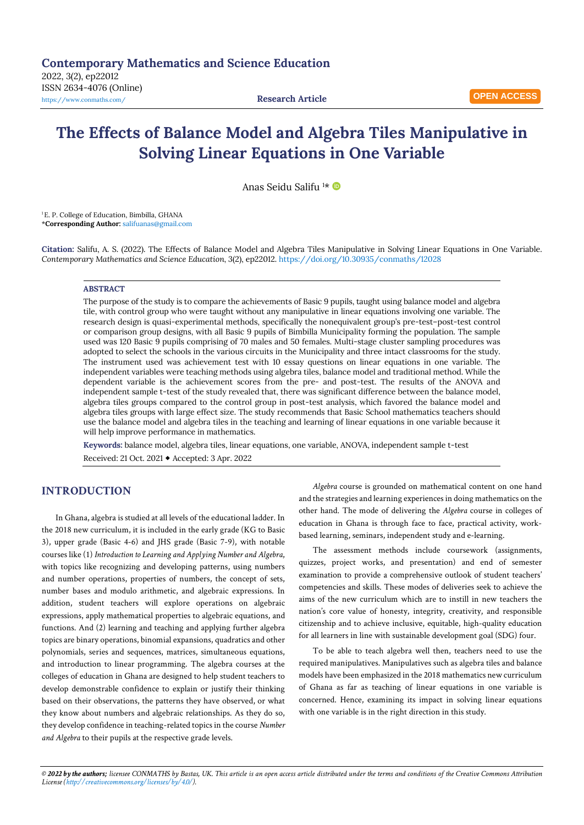# **The Effects of Balance Model and Algebra Tiles Manipulative in Solving Linear Equations in One Variable**

Anas Seidu Salifu <sup>1</sup>\*

<sup>1</sup>E. P. College of Education, Bimbilla, GHANA \***Corresponding Author:** [salifuanas@gmail.com](mailto:salifuanas@gmail.com)

**Citation:** Salifu, A. S. (2022). The Effects of Balance Model and Algebra Tiles Manipulative in Solving Linear Equations in One Variable. *Contemporary Mathematics and Science Education, 3*(2), ep22012. <https://doi.org/10.30935/conmaths/12028>

#### **ABSTRACT**

The purpose of the study is to compare the achievements of Basic 9 pupils, taught using balance model and algebra tile, with control group who were taught without any manipulative in linear equations involving one variable. The research design is quasi-experimental methods, specifically the nonequivalent group's pre-test–post-test control or comparison group designs, with all Basic 9 pupils of Bimbilla Municipality forming the population. The sample used was 120 Basic 9 pupils comprising of 70 males and 50 females. Multi-stage cluster sampling procedures was adopted to select the schools in the various circuits in the Municipality and three intact classrooms for the study. The instrument used was achievement test with 10 essay questions on linear equations in one variable. The independent variables were teaching methods using algebra tiles, balance model and traditional method. While the dependent variable is the achievement scores from the pre- and post-test. The results of the ANOVA and independent sample t-test of the study revealed that, there was significant difference between the balance model, algebra tiles groups compared to the control group in post-test analysis, which favored the balance model and algebra tiles groups with large effect size. The study recommends that Basic School mathematics teachers should use the balance model and algebra tiles in the teaching and learning of linear equations in one variable because it will help improve performance in mathematics.

**Keywords:** balance model, algebra tiles, linear equations, one variable, ANOVA, independent sample t-test Received: 21 Oct. 2021 Accepted: 3 Apr. 2022

# **INTRODUCTION**

In Ghana, algebra is studied at all levels of the educational ladder. In the 2018 new curriculum, it is included in the early grade (KG to Basic 3), upper grade (Basic 4-6) and JHS grade (Basic 7-9), with notable courses like (1) *Introduction to Learning and Applying Number and Algebra*, with topics like recognizing and developing patterns, using numbers and number operations, properties of numbers, the concept of sets, number bases and modulo arithmetic, and algebraic expressions. In addition, student teachers will explore operations on algebraic expressions, apply mathematical properties to algebraic equations, and functions. And (2) learning and teaching and applying further algebra topics are binary operations, binomial expansions, quadratics and other polynomials, series and sequences, matrices, simultaneous equations, and introduction to linear programming. The algebra courses at the colleges of education in Ghana are designed to help student teachers to develop demonstrable confidence to explain or justify their thinking based on their observations, the patterns they have observed, or what they know about numbers and algebraic relationships. As they do so, they develop confidence in teaching-related topics in the course *Number and Algebra* to their pupils at the respective grade levels.

*Algebra* course is grounded on mathematical content on one hand and the strategies and learning experiences in doing mathematics on the other hand. The mode of delivering the *Algebra* course in colleges of education in Ghana is through face to face, practical activity, workbased learning, seminars, independent study and e-learning.

The assessment methods include coursework (assignments, quizzes, project works, and presentation) and end of semester examination to provide a comprehensive outlook of student teachers' competencies and skills. These modes of deliveries seek to achieve the aims of the new curriculum which are to instill in new teachers the nation's core value of honesty, integrity, creativity, and responsible citizenship and to achieve inclusive, equitable, high-quality education for all learners in line with sustainable development goal (SDG) four.

To be able to teach algebra well then, teachers need to use the required manipulatives. Manipulatives such as algebra tiles and balance models have been emphasized in the 2018 mathematics new curriculum of Ghana as far as teaching of linear equations in one variable is concerned. Hence, examining its impact in solving linear equations with one variable is in the right direction in this study.

© 2022 by the authors; licensee CONMATHS by Bastas, UK. This article is an open access article distributed under the terms and conditions of the Creative Commons Attribution *License [\(http://creativecommons.org/licenses/by/4.0/\).](http://creativecommons.org/licenses/by/4.0/)*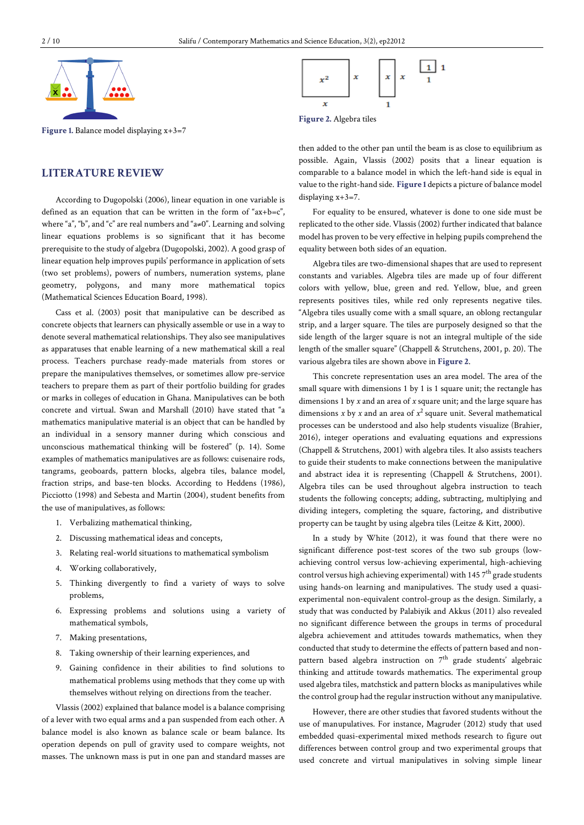

**Figure 1.** Balance model displaying x+3=7

# **LITERATURE REVIEW**

According to Dugopolski (2006), linear equation in one variable is defined as an equation that can be written in the form of " $ax+b=c$ ". where "a", "b", and "c" are real numbers and "a≠0". Learning and solving linear equations problems is so significant that it has become prerequisite to the study of algebra (Dugopolski, 2002). A good grasp of linear equation help improves pupils' performance in application of sets (two set problems), powers of numbers, numeration systems, plane geometry, polygons, and many more mathematical topics (Mathematical Sciences Education Board, 1998).

Cass et al. (2003) posit that manipulative can be described as concrete objects that learners can physically assemble or use in a way to denote several mathematical relationships. They also see manipulatives as apparatuses that enable learning of a new mathematical skill a real process. Teachers purchase ready-made materials from stores or prepare the manipulatives themselves, or sometimes allow pre-service teachers to prepare them as part of their portfolio building for grades or marks in colleges of education in Ghana. Manipulatives can be both concrete and virtual. Swan and Marshall (2010) have stated that "a mathematics manipulative material is an object that can be handled by an individual in a sensory manner during which conscious and unconscious mathematical thinking will be fostered" (p. 14). Some examples of mathematics manipulatives are as follows: cuisenaire rods, tangrams, geoboards, pattern blocks, algebra tiles, balance model, fraction strips, and base-ten blocks. According to Heddens (1986), Picciotto (1998) and Sebesta and Martin (2004), student benefits from the use of manipulatives, as follows:

- 1. Verbalizing mathematical thinking,
- 2. Discussing mathematical ideas and concepts,
- 3. Relating real-world situations to mathematical symbolism
- 4. Working collaboratively,
- 5. Thinking divergently to find a variety of ways to solve problems,
- 6. Expressing problems and solutions using a variety of mathematical symbols,
- 7. Making presentations,
- 8. Taking ownership of their learning experiences, and
- 9. Gaining confidence in their abilities to find solutions to mathematical problems using methods that they come up with themselves without relying on directions from the teacher.

Vlassis (2002) explained that balance model is a balance comprising of a lever with two equal arms and a pan suspended from each other. A balance model is also known as balance scale or beam balance. Its operation depends on pull of gravity used to compare weights, not masses. The unknown mass is put in one pan and standard masses are



**Figure 2.** Algebra tiles

then added to the other pan until the beam is as close to equilibrium as possible. Again, Vlassis (2002) posits that a linear equation is comparable to a balance model in which the left-hand side is equal in value to the right-hand side. **Figure 1** depicts a picture of balance model displaying x+3=7.

For equality to be ensured, whatever is done to one side must be replicated to the other side. Vlassis (2002) further indicated that balance model has proven to be very effective in helping pupils comprehend the equality between both sides of an equation.

Algebra tiles are two-dimensional shapes that are used to represent constants and variables. Algebra tiles are made up of four different colors with yellow, blue, green and red. Yellow, blue, and green represents positives tiles, while red only represents negative tiles. "Algebra tiles usually come with a small square, an oblong rectangular strip, and a larger square. The tiles are purposely designed so that the side length of the larger square is not an integral multiple of the side length of the smaller square" (Chappell & Strutchens, 2001, p. 20). The various algebra tiles are shown above in **Figure 2**.

This concrete representation uses an area model. The area of the small square with dimensions 1 by 1 is 1 square unit; the rectangle has dimensions 1 by *x* and an area of *x* square unit; and the large square has dimensions *x* by *x* and an area of *x* 2 square unit. Several mathematical processes can be understood and also help students visualize (Brahier, 2016), integer operations and evaluating equations and expressions (Chappell & Strutchens, 2001) with algebra tiles. It also assists teachers to guide their students to make connections between the manipulative and abstract idea it is representing (Chappell & Strutchens, 2001). Algebra tiles can be used throughout algebra instruction to teach students the following concepts; adding, subtracting, multiplying and dividing integers, completing the square, factoring, and distributive property can be taught by using algebra tiles (Leitze & Kitt, 2000).

In a study by White (2012), it was found that there were no significant difference post-test scores of the two sub groups (lowachieving control versus low-achieving experimental, high-achieving control versus high achieving experimental) with 145  $7^{\rm th}$  grade students using hands-on learning and manipulatives. The study used a quasiexperimental non-equivalent control-group as the design. Similarly, a study that was conducted by Palabiyik and Akkus (2011) also revealed no significant difference between the groups in terms of procedural algebra achievement and attitudes towards mathematics, when they conducted that study to determine the effects of pattern based and nonpattern based algebra instruction on 7<sup>th</sup> grade students' algebraic thinking and attitude towards mathematics. The experimental group used algebra tiles, matchstick and pattern blocks as manipulatives while the control group had the regular instruction without any manipulative.

However, there are other studies that favored students without the use of manupulatives. For instance, Magruder (2012) study that used embedded quasi-experimental mixed methods research to figure out differences between control group and two experimental groups that used concrete and virtual manipulatives in solving simple linear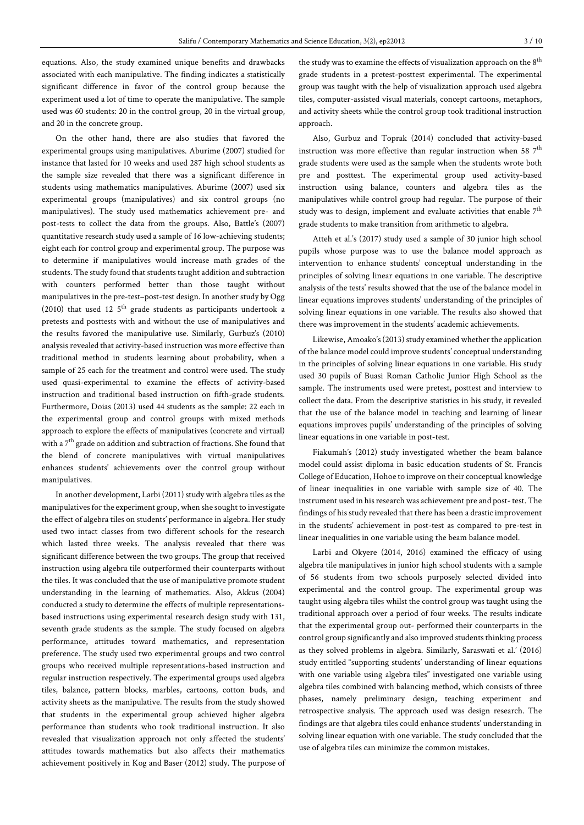equations. Also, the study examined unique benefits and drawbacks associated with each manipulative. The finding indicates a statistically significant difference in favor of the control group because the experiment used a lot of time to operate the manipulative. The sample used was 60 students: 20 in the control group, 20 in the virtual group, and 20 in the concrete group.

On the other hand, there are also studies that favored the experimental groups using manipulatives. Aburime (2007) studied for instance that lasted for 10 weeks and used 287 high school students as the sample size revealed that there was a significant difference in students using mathematics manipulatives. Aburime (2007) used six experimental groups (manipulatives) and six control groups (no manipulatives). The study used mathematics achievement pre- and post-tests to collect the data from the groups. Also, Battle's (2007) quantitative research study used a sample of 16 low-achieving students; eight each for control group and experimental group. The purpose was to determine if manipulatives would increase math grades of the students. The study found that students taught addition and subtraction with counters performed better than those taught without manipulatives in the pre-test–post-test design. In another study by Ogg (2010) that used 12  $5<sup>th</sup>$  grade students as participants undertook a pretests and posttests with and without the use of manipulatives and the results favored the manipulative use. Similarly, Gurbuz's (2010) analysis revealed that activity-based instruction was more effective than traditional method in students learning about probability, when a sample of 25 each for the treatment and control were used. The study used quasi-experimental to examine the effects of activity-based instruction and traditional based instruction on fifth-grade students. Furthermore, Doias (2013) used 44 students as the sample: 22 each in the experimental group and control groups with mixed methods approach to explore the effects of manipulatives (concrete and virtual) with a  $7^{\text{th}}$  grade on addition and subtraction of fractions. She found that the blend of concrete manipulatives with virtual manipulatives enhances students' achievements over the control group without manipulatives.

In another development, Larbi (2011) study with algebra tiles as the manipulatives for the experiment group, when she sought to investigate the effect of algebra tiles on students' performance in algebra. Her study used two intact classes from two different schools for the research which lasted three weeks. The analysis revealed that there was significant difference between the two groups. The group that received instruction using algebra tile outperformed their counterparts without the tiles. It was concluded that the use of manipulative promote student understanding in the learning of mathematics. Also, Akkus (2004) conducted a study to determine the effects of multiple representationsbased instructions using experimental research design study with 131, seventh grade students as the sample. The study focused on algebra performance, attitudes toward mathematics, and representation preference. The study used two experimental groups and two control groups who received multiple representations-based instruction and regular instruction respectively. The experimental groups used algebra tiles, balance, pattern blocks, marbles, cartoons, cotton buds, and activity sheets as the manipulative. The results from the study showed that students in the experimental group achieved higher algebra performance than students who took traditional instruction. It also revealed that visualization approach not only affected the students' attitudes towards mathematics but also affects their mathematics achievement positively in Kog and Baser (2012) study. The purpose of

the study was to examine the effects of visualization approach on the  $8^{\rm th}$ grade students in a pretest-posttest experimental. The experimental group was taught with the help of visualization approach used algebra tiles, computer-assisted visual materials, concept cartoons, metaphors, and activity sheets while the control group took traditional instruction approach.

Also, Gurbuz and Toprak (2014) concluded that activity-based instruction was more effective than regular instruction when 58  $7^{\text{th}}$ grade students were used as the sample when the students wrote both pre and posttest. The experimental group used activity-based instruction using balance, counters and algebra tiles as the manipulatives while control group had regular. The purpose of their study was to design, implement and evaluate activities that enable  $7^{\rm th}$ grade students to make transition from arithmetic to algebra.

Atteh et al.'s (2017) study used a sample of 30 junior high school pupils whose purpose was to use the balance model approach as intervention to enhance students' conceptual understanding in the principles of solving linear equations in one variable. The descriptive analysis of the tests' results showed that the use of the balance model in linear equations improves students' understanding of the principles of solving linear equations in one variable. The results also showed that there was improvement in the students' academic achievements.

Likewise, Amoako's (2013) study examined whether the application of the balance model could improve students' conceptual understanding in the principles of solving linear equations in one variable. His study used 30 pupils of Buasi Roman Catholic Junior High School as the sample. The instruments used were pretest, posttest and interview to collect the data. From the descriptive statistics in his study, it revealed that the use of the balance model in teaching and learning of linear equations improves pupils' understanding of the principles of solving linear equations in one variable in post-test.

Fiakumah's (2012) study investigated whether the beam balance model could assist diploma in basic education students of St. Francis College of Education, Hohoe to improve on their conceptual knowledge of linear inequalities in one variable with sample size of 40. The instrument used in his research was achievement pre and post-test. The findings of his study revealed that there has been a drasticimprovement in the students' achievement in post-test as compared to pre-test in linear inequalities in one variable using the beam balance model.

Larbi and Okyere (2014, 2016) examined the efficacy of using algebra tile manipulatives in junior high school students with a sample of 56 students from two schools purposely selected divided into experimental and the control group. The experimental group was taught using algebra tiles whilst the control group was taught using the traditional approach over a period of four weeks. The results indicate that the experimental group out- performed their counterparts in the control group significantly and also improved students thinking process as they solved problems in algebra. Similarly, Saraswati et al.' (2016) study entitled "supporting students' understanding of linear equations with one variable using algebra tiles" investigated one variable using algebra tiles combined with balancing method, which consists of three phases, namely preliminary design, teaching experiment and retrospective analysis. The approach used was design research. The findings are that algebra tiles could enhance students' understanding in solving linear equation with one variable. The study concluded that the use of algebra tiles can minimize the common mistakes.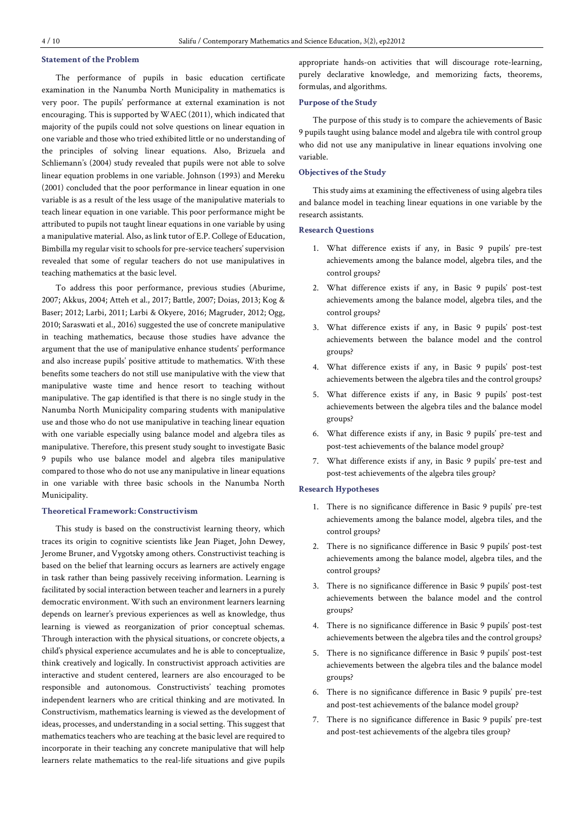# **Statement of the Problem**

The performance of pupils in basic education certificate examination in the Nanumba North Municipality in mathematics is very poor. The pupils' performance at external examination is not encouraging. This is supported by WAEC (2011), which indicated that majority of the pupils could not solve questions on linear equation in one variable and those who tried exhibited little or no understanding of the principles of solving linear equations. Also, Brizuela and Schliemann's (2004) study revealed that pupils were not able to solve linear equation problems in one variable. Johnson (1993) and Mereku (2001) concluded that the poor performance in linear equation in one variable is as a result of the less usage of the manipulative materials to teach linear equation in one variable. This poor performance might be attributed to pupils not taught linear equations in one variable by using a manipulative material. Also, as link tutor of E.P. College of Education, Bimbilla my regular visit to schools for pre-service teachers' supervision revealed that some of regular teachers do not use manipulatives in teaching mathematics at the basic level.

To address this poor performance, previous studies (Aburime, 2007; Akkus, 2004; Atteh et al., 2017; Battle, 2007; Doias, 2013; Kog & Baser; 2012; Larbi, 2011; Larbi & Okyere, 2016; Magruder, 2012; Ogg, 2010; Saraswati et al., 2016) suggested the use of concrete manipulative in teaching mathematics, because those studies have advance the argument that the use of manipulative enhance students' performance and also increase pupils' positive attitude to mathematics. With these benefits some teachers do not still use manipulative with the view that manipulative waste time and hence resort to teaching without manipulative. The gap identified is that there is no single study in the Nanumba North Municipality comparing students with manipulative use and those who do not use manipulative in teaching linear equation with one variable especially using balance model and algebra tiles as manipulative. Therefore, this present study sought to investigate Basic 9 pupils who use balance model and algebra tiles manipulative compared to those who do not use any manipulative in linear equations in one variable with three basic schools in the Nanumba North Municipality.

#### **Theoretical Framework: Constructivism**

This study is based on the constructivist learning theory, which traces its origin to cognitive scientists like Jean Piaget, John Dewey, Jerome Bruner, and Vygotsky among others. Constructivist teaching is based on the belief that learning occurs as learners are actively engage in task rather than being passively receiving information. Learning is facilitated by social interaction between teacher and learners in a purely democratic environment. With such an environment learners learning depends on learner's previous experiences as well as knowledge, thus learning is viewed as reorganization of prior conceptual schemas. Through interaction with the physical situations, or concrete objects, a child's physical experience accumulates and he is able to conceptualize, think creatively and logically. In constructivist approach activities are interactive and student centered, learners are also encouraged to be responsible and autonomous. Constructivists' teaching promotes independent learners who are critical thinking and are motivated. In Constructivism, mathematics learning is viewed as the development of ideas, processes, and understanding in a social setting. This suggest that mathematics teachers who are teaching at the basic level are required to incorporate in their teaching any concrete manipulative that will help learners relate mathematics to the real-life situations and give pupils

appropriate hands-on activities that will discourage rote-learning, purely declarative knowledge, and memorizing facts, theorems, formulas, and algorithms.

# **Purpose of the Study**

The purpose of this study is to compare the achievements of Basic 9 pupils taught using balance model and algebra tile with control group who did not use any manipulative in linear equations involving one variable.

### **Objectives of the Study**

This study aims at examining the effectiveness of using algebra tiles and balance model in teaching linear equations in one variable by the research assistants.

#### **Research Questions**

- 1. What difference exists if any, in Basic 9 pupils' pre-test achievements among the balance model, algebra tiles, and the control groups?
- 2. What difference exists if any, in Basic 9 pupils' post-test achievements among the balance model, algebra tiles, and the control groups?
- 3. What difference exists if any, in Basic 9 pupils' post-test achievements between the balance model and the control groups?
- 4. What difference exists if any, in Basic 9 pupils' post-test achievements between the algebra tiles and the control groups?
- 5. What difference exists if any, in Basic 9 pupils' post-test achievements between the algebra tiles and the balance model groups?
- 6. What difference exists if any, in Basic 9 pupils' pre-test and post-test achievements of the balance model group?
- 7. What difference exists if any, in Basic 9 pupils' pre-test and post-test achievements of the algebra tiles group?

#### **Research Hypotheses**

- 1. There is no significance difference in Basic 9 pupils' pre-test achievements among the balance model, algebra tiles, and the control groups?
- 2. There is no significance difference in Basic 9 pupils' post-test achievements among the balance model, algebra tiles, and the control groups?
- 3. There is no significance difference in Basic 9 pupils' post-test achievements between the balance model and the control groups?
- 4. There is no significance difference in Basic 9 pupils' post-test achievements between the algebra tiles and the control groups?
- 5. There is no significance difference in Basic 9 pupils' post-test achievements between the algebra tiles and the balance model groups?
- 6. There is no significance difference in Basic 9 pupils' pre-test and post-test achievements of the balance model group?
- 7. There is no significance difference in Basic 9 pupils' pre-test and post-test achievements of the algebra tiles group?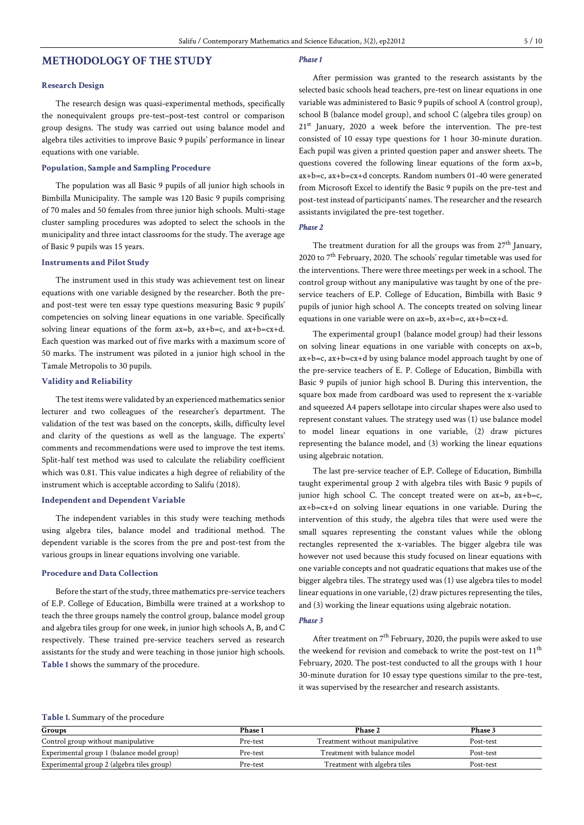# **METHODOLOGY OF THE STUDY**

### **Research Design**

The research design was quasi-experimental methods, specifically the nonequivalent groups pre-test–post-test control or comparison group designs. The study was carried out using balance model and algebra tiles activities to improve Basic 9 pupils' performance in linear equations with one variable.

### **Population, Sample and Sampling Procedure**

The population was all Basic 9 pupils of all junior high schools in Bimbilla Municipality. The sample was 120 Basic 9 pupils comprising of 70 males and 50 females from three junior high schools. Multi-stage cluster sampling procedures was adopted to select the schools in the municipality and three intact classrooms for the study. The average age of Basic 9 pupils was 15 years.

# **Instruments and Pilot Study**

The instrument used in this study was achievement test on linear equations with one variable designed by the researcher. Both the preand post-test were ten essay type questions measuring Basic 9 pupils' competencies on solving linear equations in one variable. Specifically solving linear equations of the form ax=b, ax+b=c, and ax+b=cx+d. Each question was marked out of five marks with a maximum score of 50 marks. The instrument was piloted in a junior high school in the Tamale Metropolis to 30 pupils.

# **Validity and Reliability**

The test items were validated by an experienced mathematics senior lecturer and two colleagues of the researcher's department. The validation of the test was based on the concepts, skills, difficulty level and clarity of the questions as well as the language. The experts' comments and recommendations were used to improve the test items. Split-half test method was used to calculate the reliability coefficient which was 0.81. This value indicates a high degree of reliability of the instrument which is acceptable according to Salifu (2018).

# **Independent and Dependent Variable**

The independent variables in this study were teaching methods using algebra tiles, balance model and traditional method. The dependent variable is the scores from the pre and post-test from the various groups in linear equations involving one variable.

### **Procedure and Data Collection**

Before the start of the study, three mathematics pre-service teachers of E.P. College of Education, Bimbilla were trained at a workshop to teach the three groups namely the control group, balance model group and algebra tiles group for one week, in junior high schools A, B, and C respectively. These trained pre-service teachers served as research assistants for the study and were teaching in those junior high schools. **Table 1** shows the summary of the procedure.

#### *Phase1*

After permission was granted to the research assistants by the selected basic schools head teachers, pre-test on linear equations in one variable was administered to Basic 9 pupils of school A (control group), school B (balance model group), and school C (algebra tiles group) on 21<sup>st</sup> January, 2020 a week before the intervention. The pre-test consisted of 10 essay type questions for 1 hour 30-minute duration. Each pupil was given a printed question paper and answer sheets. The questions covered the following linear equations of the form ax=b, ax+b=c, ax+b=cx+d concepts. Random numbers 01-40 were generated from Microsoft Excel to identify the Basic 9 pupils on the pre-test and post-test instead of participants' names. The researcher and the research assistants invigilated the pre-test together.

#### *Phase 2*

The treatment duration for all the groups was from  $27<sup>th</sup>$  January, 2020 to 7<sup>th</sup> February, 2020. The schools' regular timetable was used for the interventions. There were three meetings per week in a school. The control group without any manipulative was taught by one of the preservice teachers of E.P. College of Education, Bimbilla with Basic 9 pupils of junior high school A. The concepts treated on solving linear equations in one variable were on ax=b, ax+b=c, ax+b=cx+d.

The experimental group1 (balance model group) had their lessons on solving linear equations in one variable with concepts on ax=b, ax+b=c, ax+b=cx+d by using balance model approach taught by one of the pre-service teachers of E. P. College of Education, Bimbilla with Basic 9 pupils of junior high school B. During this intervention, the square box made from cardboard was used to represent the x-variable and squeezed A4 papers sellotape into circular shapes were also used to represent constant values. The strategy used was (1) use balance model to model linear equations in one variable, (2) draw pictures representing the balance model, and (3) working the linear equations using algebraic notation.

The last pre-service teacher of E.P. College of Education, Bimbilla taught experimental group 2 with algebra tiles with Basic 9 pupils of junior high school C. The concept treated were on ax=b, ax+b=c, ax+b=cx+d on solving linear equations in one variable. During the intervention of this study, the algebra tiles that were used were the small squares representing the constant values while the oblong rectangles represented the x-variables. The bigger algebra tile was however not used because this study focused on linear equations with one variable concepts and not quadratic equations that makes use of the bigger algebra tiles. The strategy used was (1) use algebra tiles to model linear equations in one variable,  $(2)$  draw pictures representing the tiles, and (3) working the linear equations using algebraic notation.

#### *Phase 3*

After treatment on  $7^{\text{th}}$  February, 2020, the pupils were asked to use the weekend for revision and comeback to write the post-test on 11<sup>th</sup> February, 2020. The post-test conducted to all the groups with 1 hour 30-minute duration for 10 essay type questions similar to the pre-test, it was supervised by the researcher and research assistants.

# **Table 1.** Summary of the procedure

| Groups                                     | <b>Phase 1</b> | Phase 2                        | Phase 3   |  |
|--------------------------------------------|----------------|--------------------------------|-----------|--|
| Control group without manipulative         | Pre-test       | Treatment without manipulative | Post-test |  |
| Experimental group 1 (balance model group) | Pre-test       | Treatment with balance model   | Post-test |  |
| Experimental group 2 (algebra tiles group) | Pre-test       | Treatment with algebra tiles   | Post-test |  |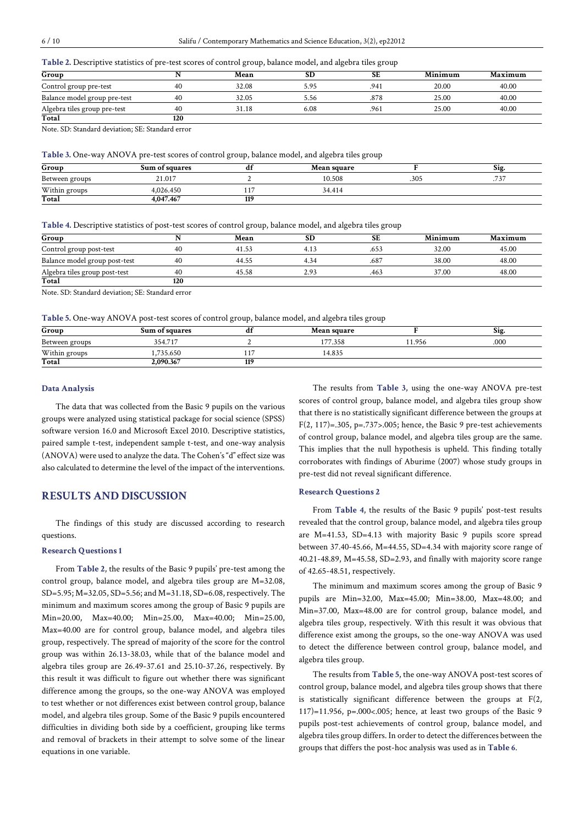#### **Table 2.** Descriptive statistics of pre-test scores of control group, balance model, and algebra tiles group

| Group                        |     | Mean  | <b>SD</b> | SЕ   | Minimum | Maximum |
|------------------------------|-----|-------|-----------|------|---------|---------|
| Control group pre-test       | 40  | 32.08 | 5.95      | .941 | 20.00   | 40.00   |
| Balance model group pre-test | 40  | 32.05 | 5.56      | .878 | 25.00   | 40.00   |
| Algebra tiles group pre-test | 40  | 31.18 | 6.08      | .961 | 25.00   | 40.00   |
| Total                        | 120 |       |           |      |         |         |

Note. SD: Standard deviation; SE: Standard error

**Table 3.** One-way ANOVA pre-test scores of control group, balance model, and algebra tiles group

| Group          | Sum of squares | aı  | <b>Mean square</b> |      | Sig.    |
|----------------|----------------|-----|--------------------|------|---------|
| Between groups | 21.017         |     | 10.508             | .305 | 72<br>. |
| Within groups  | 4.026.450      |     | 34.414             |      |         |
| Total          | 4.047.467      | 119 |                    |      |         |

#### **Table 4.** Descriptive statistics of post-test scores of control group, balance model, and algebra tiles group

| Group                         |     | Mean  | SD   | SЕ   | Minimum | Maximum |
|-------------------------------|-----|-------|------|------|---------|---------|
| Control group post-test       | 40  | 41.53 | 4.13 | .653 | 32.00   | 45.00   |
| Balance model group post-test | 40  | 44.55 | 4.34 | .687 | 38.00   | 48.00   |
| Algebra tiles group post-test | 40  | 45.58 | 2.93 | .463 | 37.00   | 48.00   |
| Total                         | 120 |       |      |      |         |         |

Note. SD: Standard deviation; SE: Standard error

**Table 5.** One-way ANOVA post-test scores of control group, balance model, and algebra tiles group

| Group          | Sum of squares |     | <b>Mean square</b> |       | <b>S1g</b> |
|----------------|----------------|-----|--------------------|-------|------------|
| Between groups | 354.717        |     | 177.358            | 1.956 | .000       |
| Within groups  | .735.650       |     | 14.835             |       |            |
| Total          | 2.090.367      | 119 |                    |       |            |

#### **Data Analysis**

The data that was collected from the Basic 9 pupils on the various groups were analyzed using statistical package for social science (SPSS) software version 16.0 and Microsoft Excel 2010. Descriptive statistics, paired sample t-test, independent sample t-test, and one-way analysis (ANOVA) were used to analyze the data. The Cohen's "d" effect size was also calculated to determine the level of the impact of the interventions.

# **RESULTS AND DISCUSSION**

The findings of this study are discussed according to research questions.

# **Research Questions 1**

From **Table 2**, the results of the Basic 9 pupils' pre-test among the control group, balance model, and algebra tiles group are M=32.08, SD=5.95; M=32.05, SD=5.56; and M=31.18, SD=6.08,respectively. The minimum and maximum scores among the group of Basic 9 pupils are Min=20.00, Max=40.00; Min=25.00, Max=40.00; Min=25.00, Max=40.00 are for control group, balance model, and algebra tiles group, respectively. The spread of majority of the score for the control group was within 26.13-38.03, while that of the balance model and algebra tiles group are 26.49-37.61 and 25.10-37.26, respectively. By this result it was difficult to figure out whether there was significant difference among the groups, so the one-way ANOVA was employed to test whether or not differences exist between control group, balance model, and algebra tiles group. Some of the Basic 9 pupils encountered difficulties in dividing both side by a coefficient, grouping like terms and removal of brackets in their attempt to solve some of the linear equations in one variable.

The results from **Table 3**, using the one-way ANOVA pre-test scores of control group, balance model, and algebra tiles group show that there is no statistically significant difference between the groups at F(2, 117)=.305, p=.737>.005; hence, the Basic 9 pre-test achievements of control group, balance model, and algebra tiles group are the same. This implies that the null hypothesis is upheld. This finding totally corroborates with findings of Aburime (2007) whose study groups in pre-test did not reveal significant difference.

#### **Research Questions 2**

From **Table 4**, the results of the Basic 9 pupils' post-test results revealed that the control group, balance model, and algebra tiles group are M=41.53, SD=4.13 with majority Basic 9 pupils score spread between 37.40-45.66, M=44.55, SD=4.34 with majority score range of 40.21-48.89, M=45.58, SD=2.93, and finally with majority score range of 42.65-48.51, respectively.

The minimum and maximum scores among the group of Basic 9 pupils are Min=32.00, Max=45.00; Min=38.00, Max=48.00; and Min=37.00, Max=48.00 are for control group, balance model, and algebra tiles group, respectively. With this result it was obvious that difference exist among the groups, so the one-way ANOVA was used to detect the difference between control group, balance model, and algebra tiles group.

The results from **Table 5**, the one-way ANOVA post-test scores of control group, balance model, and algebra tiles group shows that there is statistically significant difference between the groups at F(2, 117)=11.956, p=.000<.005; hence, at least two groups of the Basic 9 pupils post-test achievements of control group, balance model, and algebra tiles group differs. In order to detect the differences between the groups that differs the post-hoc analysis was used as in **Table 6**.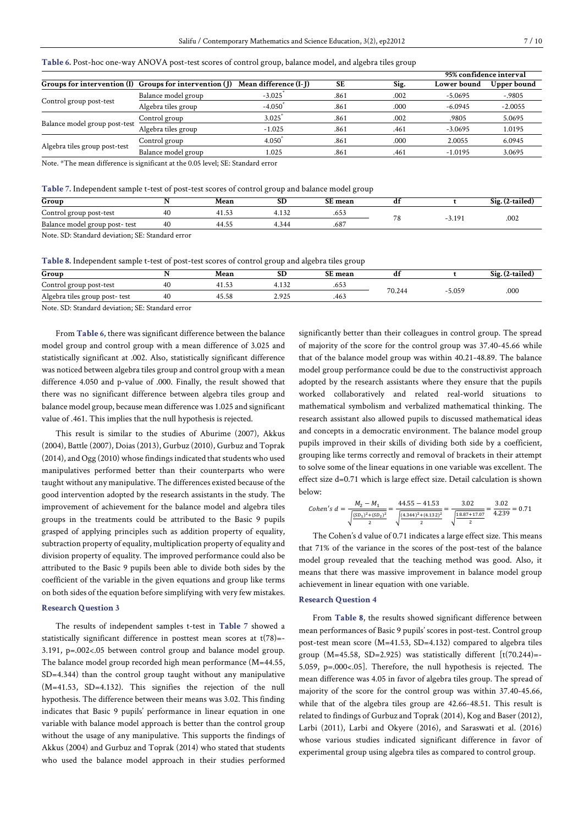|                               |                                                             |                       |      |      | 95% confidence interval |             |
|-------------------------------|-------------------------------------------------------------|-----------------------|------|------|-------------------------|-------------|
|                               | Groups for intervention $(I)$ Groups for intervention $(I)$ | Mean difference (I-J) | SЕ   | Sig. | Lower bound             | Upper bound |
| Control group post-test       | Balance model group                                         | $-3.025$              | .861 | .002 | $-5.0695$               | $-.9805$    |
|                               | Algebra tiles group                                         | $-4.050$              | .861 | .000 | $-6.0945$               | $-2.0055$   |
|                               | Control group                                               | 3.025                 | .861 | .002 | .9805                   | 5.0695      |
| Balance model group post-test | Algebra tiles group                                         | $-1.025$              | .861 | .461 | $-3.0695$               | 1.0195      |
|                               | Control group                                               | 4.050                 | .861 | .000 | 2.0055                  | 6.0945      |
| Algebra tiles group post-test | - -                                                         | .                     | .    | .    | .                       | - - - - -   |

**Table 6.** Post-hoc one-way ANOVA post-test scores of control group, balance model, and algebra tiles group

Note. \*The mean difference is significant at the 0.05 level; SE: Standard error

| Table 7. Independent sample t-test of post-test scores of control group and balance model group |  |  |
|-------------------------------------------------------------------------------------------------|--|--|
|                                                                                                 |  |  |

| Group                                                                                                                                                                                                                                                                                            |    | Mean        | <b>SD</b> | SE mean | di |       | Sig. (2-tailed) |
|--------------------------------------------------------------------------------------------------------------------------------------------------------------------------------------------------------------------------------------------------------------------------------------------------|----|-------------|-----------|---------|----|-------|-----------------|
| Control group post-test                                                                                                                                                                                                                                                                          | 40 | 41<br>41.53 | 1.132     | .653    | πo |       |                 |
| Balance model group post- test                                                                                                                                                                                                                                                                   | 40 | 44.55       | +.344     | .687    |    | 3.191 | .002            |
| $\mathbf{M}$ and $\mathbf{M}$ and $\mathbf{M}$ and $\mathbf{M}$ and $\mathbf{M}$ and $\mathbf{M}$ and $\mathbf{M}$ and $\mathbf{M}$ and $\mathbf{M}$ and $\mathbf{M}$ and $\mathbf{M}$ and $\mathbf{M}$ and $\mathbf{M}$ and $\mathbf{M}$ and $\mathbf{M}$ and $\mathbf{M}$ and $\mathbf{M}$ and |    |             |           |         |    |       |                 |

Balance model group 1.025 .861 .461 -1.0195 3.0695

Note. SD: Standard deviation; SE: Standard error

**Table 8.** Independent sample t-test of post-test scores of control group and algebra tiles group

|                                |    |             | __    | __      |        |       |                  |
|--------------------------------|----|-------------|-------|---------|--------|-------|------------------|
| Group                          |    | Mean        | ъIJ   | SE mean |        |       | $Sig. (2-tailed$ |
| Control group post-test        | 40 | 1.53<br>4   | 4.132 | .653    |        |       |                  |
| Algebra tiles group post- test | 40 | 45.58<br>45 | 2.925 | .463    | 70.244 | 5.059 | .000             |
|                                |    |             |       |         |        |       |                  |

Note. SD: Standard deviation; SE: Standard error

From **Table 6**, there was significant difference between the balance model group and control group with a mean difference of 3.025 and statistically significant at .002. Also, statistically significant difference was noticed between algebra tiles group and control group with a mean difference 4.050 and p-value of .000. Finally, the result showed that there was no significant difference between algebra tiles group and balance model group, because mean difference was 1.025 and significant value of .461. This implies that the null hypothesis is rejected.

This result is similar to the studies of Aburime (2007), Akkus (2004), Battle (2007), Doias (2013), Gurbuz (2010), Gurbuz and Toprak  $(2014)$ , and Ogg  $(2010)$  whose findings indicated that students who used manipulatives performed better than their counterparts who were taught without any manipulative. The differences existed because of the good intervention adopted by the research assistants in the study. The improvement of achievement for the balance model and algebra tiles groups in the treatments could be attributed to the Basic 9 pupils grasped of applying principles such as addition property of equality, subtraction property of equality, multiplication property of equality and division property of equality. The improved performance could also be attributed to the Basic 9 pupils been able to divide both sides by the coefficient of the variable in the given equations and group like terms on both sides of the equation before simplifying with very few mistakes.

#### **Research Question 3**

The results of independent samples t-test in **Table 7** showed a statistically significant difference in posttest mean scores at  $t(78)$ =-3.191, p=.002<.05 between control group and balance model group. The balance model group recorded high mean performance (M=44.55, SD=4.344) than the control group taught without any manipulative (M=41.53, SD=4.132). This signifies the rejection of the null hypothesis. The difference between their means was 3.02. This finding indicates that Basic 9 pupils' performance in linear equation in one variable with balance model approach is better than the control group without the usage of any manipulative. This supports the findings of Akkus (2004) and Gurbuz and Toprak (2014) who stated that students who used the balance model approach in their studies performed

significantly better than their colleagues in control group. The spread of majority of the score for the control group was 37.40-45.66 while that of the balance model group was within 40.21-48.89. The balance model group performance could be due to the constructivist approach adopted by the research assistants where they ensure that the pupils worked collaboratively and related real-world situations to mathematical symbolism and verbalized mathematical thinking. The research assistant also allowed pupils to discussed mathematical ideas and concepts in a democratic environment. The balance model group pupils improved in their skills of dividing both side by a coefficient, grouping like terms correctly and removal of brackets in their attempt to solve some of the linear equations in one variable was excellent. The effect size d=0.71 which is large effect size. Detail calculation is shown below:

$$
Cohen's d = \frac{M_2 - M_1}{\sqrt{\frac{(SD_1)^2 + (SD_2)^2}{2}}} = \frac{44.55 - 41.53}{\sqrt{\frac{(4.344)^2 + (4.132)^2}{2}}} = \frac{3.02}{\sqrt{\frac{18.87 + 17.07}{2}}} = \frac{3.02}{4.239} = 0.71
$$

The Cohen's d value of 0.71 indicates a large effect size. This means that 71% of the variance in the scores of the post-test of the balance model group revealed that the teaching method was good. Also, it means that there was massive improvement in balance model group achievement in linear equation with one variable.

#### **Research Question 4**

From **Table 8**, the results showed significant difference between mean performances of Basic 9 pupils' scores in post-test. Control group post-test mean score (M=41.53, SD=4.132) compared to algebra tiles group  $(M=45.58, SD=2.925)$  was statistically different  $[t(70.244)=-$ 5.059, p=.000<.05]. Therefore, the null hypothesis is rejected. The mean difference was 4.05 in favor of algebra tiles group. The spread of majority of the score for the control group was within 37.40-45.66, while that of the algebra tiles group are 42.66-48.51. This result is related to findings of Gurbuz and Toprak (2014), Kog and Baser (2012), Larbi (2011), Larbi and Okyere (2016), and Saraswati et al. (2016) whose various studies indicated significant difference in favor of experimental group using algebra tiles as compared to control group.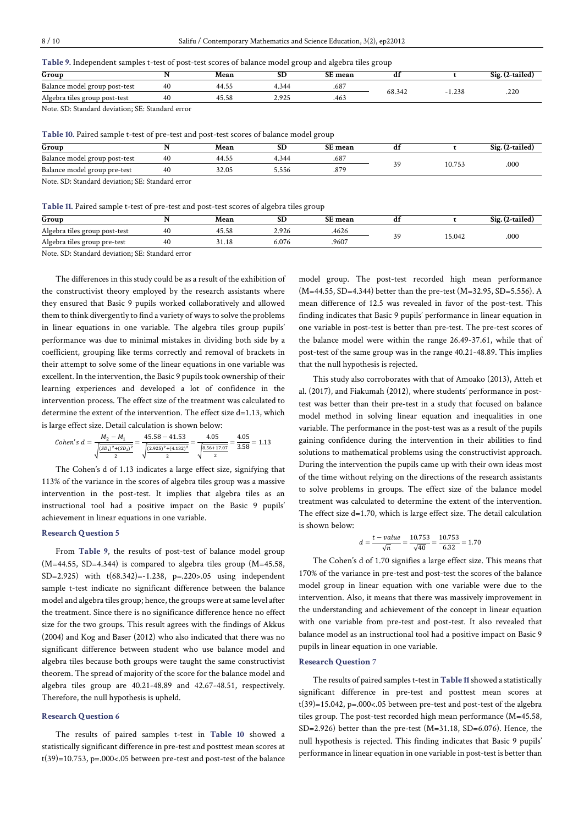| Group                              |    | Mean       | œ<br>ىرى   | nт<br>i mean | d.     |       | <u>_</u><br>519<br>g. (2-tailed |
|------------------------------------|----|------------|------------|--------------|--------|-------|---------------------------------|
| Balance model group post-test      | 40 | 44<br>7. ت | 344<br>٠., | .687         | 68.342 |       | .22C                            |
| Algebra<br>i tiles group post-test | 40 | 45.58      | 2.925      | .463         |        | 1.238 |                                 |

Note. SD: Standard deviation; SE: Standard error

**Table 10.** Paired sample t-test of pre-test and post-test scores of balance model group

| Group                                           |    | Mean  | SD    | <b>SE</b> mean |    |        | Sig. (2-tailed |
|-------------------------------------------------|----|-------|-------|----------------|----|--------|----------------|
| Balance model group post-test                   | 40 | 44.55 | 4.344 | .68            | 39 |        |                |
| Balance model group pre-test                    |    | 32.05 | 5.556 | .875           |    | 10.753 | .000           |
| Note CD: Standard doviation: CE: Standard orror |    |       |       |                |    |        |                |

SD: Standard deviation: SE: Standard error

| Group                         |    | Mean  | SD    | <b>SE</b> mean | d1 |        | tailed<br>S12. |
|-------------------------------|----|-------|-------|----------------|----|--------|----------------|
| Algebra tiles group post-test | 40 | 45.58 | 2.926 | 4626           | າດ | 15.042 | .000           |
| Algebra tiles group pre-test  | 40 | 31.18 | 6.076 | .9607          |    |        |                |

Note. SD: Standard deviation; SE: Standard error

The differences in this study could be as a result of the exhibition of the constructivist theory employed by the research assistants where they ensured that Basic 9 pupils worked collaboratively and allowed them to think divergently to find a variety of waysto solve the problems in linear equations in one variable. The algebra tiles group pupils' performance was due to minimal mistakes in dividing both side by a coefficient, grouping like terms correctly and removal of brackets in their attempt to solve some of the linear equations in one variable was excellent. In the intervention, the Basic 9 pupils took ownership of their learning experiences and developed a lot of confidence in the intervention process. The effect size of the treatment was calculated to determine the extent of the intervention. The effect size d=1.13, which is large effect size. Detail calculation is shown below:

$$
Cohen's d = \frac{M_2 - M_1}{\sqrt{\frac{(SD_1)^2 + (SD_2)^2}{2}}} = \frac{45.58 - 41.53}{\sqrt{\frac{(2.925)^2 + (4.132)^2}{2}}} = \frac{4.05}{\sqrt{\frac{8.56 + 17.07}{2}}} = \frac{4.05}{3.58} = 1.13
$$

The Cohen's d of 1.13 indicates a large effect size, signifying that 113% of the variance in the scores of algebra tiles group was a massive intervention in the post-test. It implies that algebra tiles as an instructional tool had a positive impact on the Basic 9 pupils' achievement in linear equations in one variable.

# **Research Question 5**

From **Table 9**, the results of post-test of balance model group  $(M=44.55, SD=4.344)$  is compared to algebra tiles group  $(M=45.58,$ SD=2.925) with t(68.342)=-1.238, p=.220>.05 using independent sample t-test indicate no significant difference between the balance model and algebra tiles group; hence, the groups were at same level after the treatment. Since there is no significance difference hence no effect size for the two groups. This result agrees with the findings of Akkus (2004) and Kog and Baser (2012) who also indicated that there was no significant difference between student who use balance model and algebra tiles because both groups were taught the same constructivist theorem. The spread of majority of the score for the balance model and algebra tiles group are 40.21-48.89 and 42.67-48.51, respectively. Therefore, the null hypothesis is upheld.

#### **Research Question 6**

The results of paired samples t-test in **Table 10** showed a statistically significant difference in pre-test and posttest mean scores at t(39)=10.753, p=.000<.05 between pre-test and post-test of the balance model group. The post-test recorded high mean performance (M=44.55, SD=4.344) better than the pre-test (M=32.95, SD=5.556). A mean difference of 12.5 was revealed in favor of the post-test. This finding indicates that Basic 9 pupils' performance in linear equation in one variable in post-test is better than pre-test. The pre-test scores of the balance model were within the range 26.49-37.61, while that of post-test of the same group was in the range 40.21-48.89. This implies that the null hypothesis is rejected.

This study also corroborates with that of Amoako (2013), Atteh et al. (2017), and Fiakumah (2012), where students' performance in posttest was better than their pre-test in a study that focused on balance model method in solving linear equation and inequalities in one variable. The performance in the post-test was as a result of the pupils gaining confidence during the intervention in their abilities to find solutions to mathematical problems using the constructivist approach. During the intervention the pupils came up with their own ideas most of the time without relying on the directions of the research assistants to solve problems in groups. The effect size of the balance model treatment was calculated to determine the extent of the intervention. The effect size d=1.70, which is large effect size. The detail calculation is shown below:

$$
d = \frac{t - value}{\sqrt{n}} = \frac{10.753}{\sqrt{40}} = \frac{10.753}{6.32} = 1.70
$$

The Cohen's d of 1.70 signifies a large effect size. This means that 170% of the variance in pre-test and post-test the scores of the balance model group in linear equation with one variable were due to the intervention. Also, it means that there was massively improvement in the understanding and achievement of the concept in linear equation with one variable from pre-test and post-test. It also revealed that balance model as an instructional tool had a positive impact on Basic 9 pupils in linear equation in one variable.

#### **Research Question 7**

The results of paired samplest-test in **Table 11**showed a statistically significant difference in pre-test and posttest mean scores at t(39)=15.042, p=.000<.05 between pre-test and post-test of the algebra tiles group. The post-test recorded high mean performance (M=45.58, SD=2.926) better than the pre-test (M=31.18, SD=6.076). Hence, the null hypothesis is rejected. This finding indicates that Basic 9 pupils' performance in linear equation in one variable in post-test is better than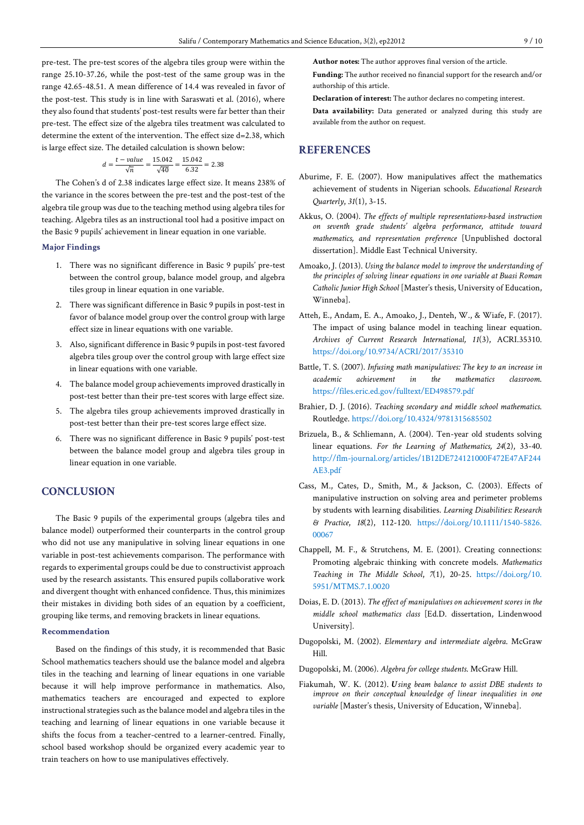$$
d = \frac{t - value}{\sqrt{n}} = \frac{15.042}{\sqrt{40}} = \frac{15.042}{6.32} = 2.38
$$

The Cohen's d of 2.38 indicates large effect size. It means 238% of the variance in the scores between the pre-test and the post-test of the algebra tile group was due to the teaching method using algebra tiles for teaching. Algebra tiles as an instructional tool had a positive impact on the Basic 9 pupils' achievement in linear equation in one variable.

### **Major Findings**

- 1. There was no significant difference in Basic 9 pupils' pre-test between the control group, balance model group, and algebra tiles group in linear equation in one variable.
- 2. There was significant difference in Basic 9 pupils in post-test in favor of balance model group over the control group with large effect size in linear equations with one variable.
- 3. Also, significant difference in Basic 9 pupils in post-test favored algebra tiles group over the control group with large effect size in linear equations with one variable.
- 4. The balance model group achievements improved drastically in post-test better than their pre-test scores with large effect size.
- 5. The algebra tiles group achievements improved drastically in post-test better than their pre-test scores large effect size.
- 6. There was no significant difference in Basic 9 pupils' post-test between the balance model group and algebra tiles group in linear equation in one variable.

# **CONCLUSION**

The Basic 9 pupils of the experimental groups (algebra tiles and balance model) outperformed their counterparts in the control group who did not use any manipulative in solving linear equations in one variable in post-test achievements comparison. The performance with regards to experimental groups could be due to constructivist approach used by the research assistants. This ensured pupils collaborative work and divergent thought with enhanced confidence. Thus, this minimizes their mistakes in dividing both sides of an equation by a coefficient, grouping like terms, and removing brackets in linear equations.

#### **Recommendation**

Based on the findings of this study, it is recommended that Basic School mathematics teachers should use the balance model and algebra tiles in the teaching and learning of linear equations in one variable because it will help improve performance in mathematics. Also, mathematics teachers are encouraged and expected to explore instructional strategies such as the balance model and algebra tiles in the teaching and learning of linear equations in one variable because it shifts the focus from a teacher-centred to a learner-centred. Finally, school based workshop should be organized every academic year to train teachers on how to use manipulatives effectively.

**Author notes:** The author approves final version of the article.

**Funding:** The author received no financial support for the research and/or authorship of this article.

**Declaration of interest:** The author declares no competing interest.

**Data availability:** Data generated or analyzed during this study are available from the author on request.

# **REFERENCES**

- Aburime, F. E. (2007). How manipulatives affect the mathematics achievement of students in Nigerian schools. *Educational Research Quarterly*, *31*(1), 3-15.
- Akkus, O. (2004). *The effects of multiple representations-based instruction on seventh grade students' algebra performance, attitude toward mathematics, and representation preference* [Unpublished doctoral dissertation]. Middle East Technical University.
- Amoako, J. (2013). *Using the balance model to improve the understanding of the principles of solving linear equations in one variable at Buasi Roman Catholic Junior High School* [Master's thesis, University of Education, Winneba].
- Atteh, E., Andam, E. A., Amoako, J., Denteh, W., & Wiafe, F. (2017). The impact of using balance model in teaching linear equation. *Archives of Current Research International, 11*(3), ACRI.35310. <https://doi.org/10.9734/ACRI/2017/35310>
- Battle, T. S. (2007). *Infusing math manipulatives: The key to an increase in academic achievement in the mathematics classroom*. <https://files.eric.ed.gov/fulltext/ED498579.pdf>
- Brahier, D. J. (2016). *Teaching secondary and middle school mathematics*. Routledge. <https://doi.org/10.4324/9781315685502>
- Brizuela, B., & Schliemann, A. (2004). Ten-year old students solving linear equations. *For the Learning of Mathematics, 24*(2), 33-40. [http://flm-journal.org/articles/1B12DE724121000F472E47AF244](http://flm-journal.org/articles/1B12DE724121000F472E47AF244AE3.pdf) [AE3.pdf](http://flm-journal.org/articles/1B12DE724121000F472E47AF244AE3.pdf)
- Cass, M., Cates, D., Smith, M., & Jackson, C. (2003). Effects of manipulative instruction on solving area and perimeter problems by students with learning disabilities. *Learning Disabilities: Research & Practice*, *18*(2), 112-120. [https://doi.org/10.1111/1540-5826.](https://doi.org/10.1111/1540-5826.00067) [00067](https://doi.org/10.1111/1540-5826.00067)
- Chappell, M. F., & Strutchens, M. E. (2001). Creating connections: Promoting algebraic thinking with concrete models. *Mathematics Teaching in The Middle School*, *7*(1), 20-25. [https://doi.org/10.](https://doi.org/10.5951/MTMS.7.1.0020) [5951/MTMS.7.1.0020](https://doi.org/10.5951/MTMS.7.1.0020)
- Doias, E. D. (2013). *The effect of manipulatives on achievement scores in the middle school mathematics class* [Ed.D. dissertation, Lindenwood University]*.*
- Dugopolski, M. (2002). *Elementary and intermediate algebra*. McGraw Hill.
- Dugopolski, M. (2006). *Algebra for college students*. McGraw Hill.
- Fiakumah, W. K. (2012). *Using beam balance to assist DBE students to improve on their conceptual knowledge of linear inequalities in one variable* [Master's thesis, University of Education, Winneba].